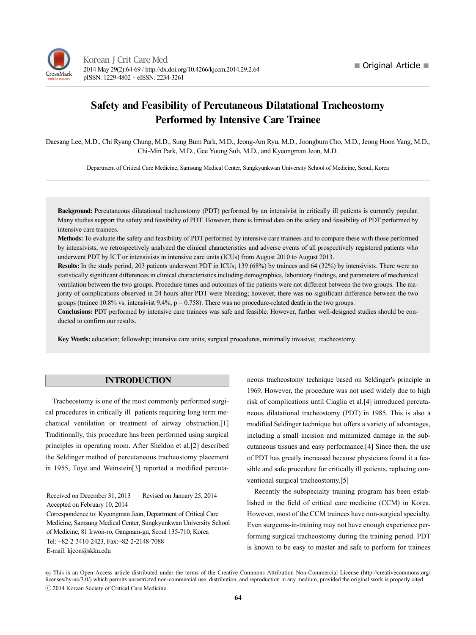# **Safety and Feasibility of Percutaneous Dilatational Tracheostomy Performed by Intensive Care Trainee**

Daesang Lee, M.D., Chi Ryang Chung, M.D., Sung Bum Park, M.D., Jeong-Am Ryu, M.D., Joongbum Cho, M.D., Jeong Hoon Yang, M.D., Chi-Min Park, M.D., Gee Young Suh, M.D., and Kyeongman Jeon, M.D.

Department of Critical Care Medicine, Samsung Medical Center, Sungkyunkwan University School of Medicine, Seoul, Korea

**Background:** Percutaneous dilatational tracheostomy (PDT) performed by an intensivist in critically ill patients is currently popular. Many studies support the safety and feasibility of PDT. However, there is limited data on the safety and feasibility of PDT performed by intensive care trainees.

**Methods:** To evaluate the safety and feasibility of PDT performed by intensive care trainees and to compare these with those performed by intensivists, we retrospectively analyzed the clinical characteristics and adverse events of all prospectively registered patients who underwent PDT by ICT or intensivists in intensive care units (ICUs) from August 2010 to August 2013.

**Results:** In the study period, 203 patients underwent PDT in ICUs; 139 (68%) by trainees and 64 (32%) by intensivists. There were no statistically significant differences in clinical characteristics including demographics, laboratory findings, and parameters of mechanical ventilation between the two groups. Procedure times and outcomes of the patients were not different between the two groups. The majority of complications observed in 24 hours after PDT were bleeding; however, there was no significant difference between the two groups (trainee 10.8% vs. intensivist  $9.4\%$ , p = 0.758). There was no procedure-related death in the two groups.

**Conclusions:** PDT performed by intensive care trainees was safe and feasible. However, further well-designed studies should be conducted to confirm our results.

**Key Words:** education; fellowship; intensive care units; surgical procedures, minimally invasive; tracheostomy.

### **INTRODUCTION**

Tracheostomy is one of the most commonly performed surgical procedures in critically ill patients requiring long term mechanical ventilation or treatment of airway obstruction.[1] Traditionally, this procedure has been performed using surgical principles in operating room. After Sheldon et al.[2] described the Seldinger method of percutaneous tracheostomy placement in 1955, Toye and Weinstein[3] reported a modified percuta-

neous tracheostomy technique based on Seldinger's principle in 1969. However, the procedure was not used widely due to high risk of complications until Ciaglia et al.[4] introduced percutaneous dilatational tracheostomy (PDT) in 1985. This is also a modified Seldinger technique but offers a variety of advantages, including a small incision and minimized damage in the subcutaneous tissues and easy performance.[4] Since then, the use of PDT has greatly increased because physicians found it a feasible and safe procedure for critically ill patients, replacing conventional surgical tracheostomy.[5]

Recently the subspecialty training program has been established in the field of critical care medicine (CCM) in Korea. However, most of the CCM trainees have non-surgical specialty. Even surgeons-in-training may not have enough experience performing surgical tracheostomy during the training period. PDT is known to be easy to master and safe to perform for trainees

Received on December 31, 2013 Revised on January 25, 2014 Accepted on February 10, 2014

Correspondence to: Kyeongman Jeon, Department of Critical Care Medicine, Samsung Medical Center, Sungkyunkwan University School of Medicine, 81 Irwon-ro, Gangnam-gu, Seoul 135-710, Korea Tel: +82-2-3410-2423, Fax:+82-2-2148-7088 E-mail: kjeon@skku.edu

This is an Open Access article distributed under the terms of the Creative Commons Attribution Non-Commercial License (http://creativecommons.org/ licenses/by-nc/3.0/) which permits unrestricted non-commercial use, distribution, and reproduction in any medium, provided the original work is properly cited. ⓒ 2014 Korean Society of Critical Care Medicine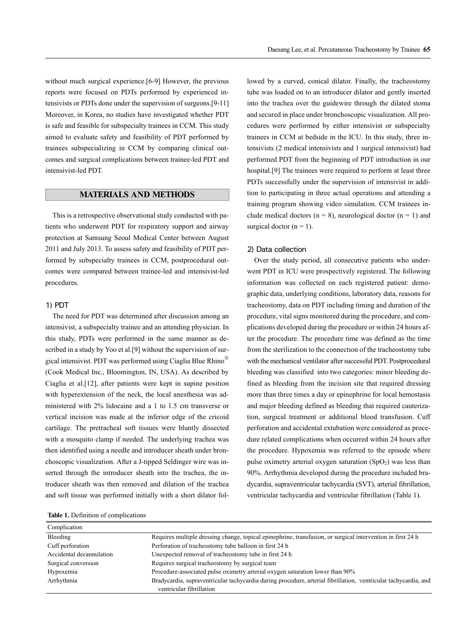without much surgical experience.[6-9] However, the previous reports were focused on PDTs performed by experienced intensivists or PDTs done under the supervision of surgeons.[9-11] Moreover, in Korea, no studies have investigated whether PDT is safe and feasible for subspecialty trainees in CCM. This study aimed to evaluate safety and feasibility of PDT performed by trainees subspecializing in CCM by comparing clinical outcomes and surgical complications between trainee-led PDT and intensivist-led PDT.

## **MATERIALS AND METHODS**

This is a retrospective observational study conducted with patients who underwent PDT for respiratory support and airway protection at Samsung Seoul Medical Center between August 2011 and July 2013. To assess safety and feasibility of PDT performed by subspecialty trainees in CCM, postprocedural outcomes were compared between trainee-led and intensivist-led procedures.

## 1) PDT

The need for PDT was determined after discussion among an intensivist, a subspecialty trainee and an attending physician. In this study, PDTs were performed in the same manner as described in a study by Yoo et al.[9] without the supervision of surgical intensivist. PDT was performed using Ciaglia Blue Rhino<sup>®</sup> (Cook Medical Inc., Bloomington, IN, USA). As described by Ciaglia et al.[12], after patients were kept in supine position with hyperextension of the neck, the local anesthesia was administered with 2% lidocaine and a 1 to 1.5 cm transverse or vertical incision was made at the inferior edge of the cricoid cartilage. The pretracheal soft tissues were bluntly dissected with a mosquito clamp if needed. The underlying trachea was then identified using a needle and introducer sheath under bronchoscopic visualization. After a J-tipped Seldinger wire was inserted through the introducer sheath into the trachea, the introducer sheath was then removed and dilation of the trachea and soft tissue was performed initially with a short dilator fol-

**Table 1.** Definition of complications

lowed by a curved, conical dilator. Finally, the tracheostomy tube was loaded on to an introducer dilator and gently inserted into the trachea over the guidewire through the dilated stoma and secured in place under bronchoscopic visualization. All procedures were performed by either intensivist or subspecialty trainees in CCM at bedside in the ICU. In this study, three intensivists (2 medical intensivists and 1 surgical intensivist) had performed PDT from the beginning of PDT introduction in our hospital.[9] The trainees were required to perform at least three PDTs successfully under the supervision of intensivist in addition to participating in three actual operations and attending a training program showing video simulation. CCM trainees include medical doctors ( $n = 8$ ), neurological doctor ( $n = 1$ ) and surgical doctor  $(n = 1)$ .

#### 2) Data collection

Over the study period, all consecutive patients who underwent PDT in ICU were prospectively registered. The following information was collected on each registered patient: demographic data, underlying conditions, laboratory data, reasons for tracheostomy, data on PDT including timing and duration of the procedure, vital signs monitored during the procedure, and complications developed during the procedure or within 24 hours after the procedure. The procedure time was defined as the time from the sterilization to the connection of the tracheostomy tube with the mechanical ventilator after successful PDT. Postprocedural bleeding was classified into two categories: minor bleeding defined as bleeding from the incision site that required dressing more than three times a day or epinephrine for local hemostasis and major bleeding defined as bleeding that required cauterization, surgical treatment or additional blood transfusion. Cuff perforation and accidental extubation were considered as procedure related complications when occurred within 24 hours after the procedure. Hypoxemia was referred to the episode where pulse oximetry arterial oxygen saturation  $(SpO<sub>2</sub>)$  was less than 90%. Arrhythmia developed during the procedure included bradycardia, supraventricular tachycardia (SVT), arterial fibrillation, ventricular tachycardia and ventricular fibrillation (Table 1).

| Complication             |                                                                                                                 |
|--------------------------|-----------------------------------------------------------------------------------------------------------------|
| Bleeding                 | Requires multiple dressing change, topical epinephrine, transfusion, or surgical intervention in first 24 h     |
| Cuff perforation         | Perforation of tracheostomy tube balloon in first 24 h                                                          |
| Accidental decannulation | Unexpected removal of tracheostomy tube in first 24 h                                                           |
| Surgical conversion      | Requires surgical tracheostomy by surgical team                                                                 |
| Hypoxemia                | Procedure-associated pulse oximetry arterial oxygen saturation lower than 90%                                   |
| Arrhythmia               | Bradycardia, supraventricular tachycardia during procedure, arterial fibrillation, ventricular tachycardia, and |
|                          | ventricular fibrillation                                                                                        |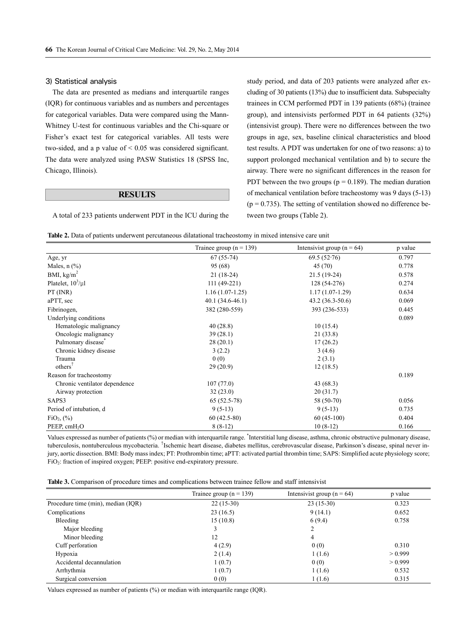#### 3) Statistical analysis

The data are presented as medians and interquartile ranges (IQR) for continuous variables and as numbers and percentages for categorical variables. Data were compared using the Mann-Whitney U-test for continuous variables and the Chi-square or Fisher's exact test for categorical variables. All tests were two-sided, and a p value of < 0.05 was considered significant. The data were analyzed using PASW Statistics 18 (SPSS Inc, Chicago, Illinois).

#### **RESULTS**

A total of 233 patients underwent PDT in the ICU during the

study period, and data of 203 patients were analyzed after excluding of 30 patients (13%) due to insufficient data. Subspecialty trainees in CCM performed PDT in 139 patients (68%) (trainee group), and intensivists performed PDT in 64 patients (32%) (intensivist group). There were no differences between the two groups in age, sex, baseline clinical characteristics and blood test results. A PDT was undertaken for one of two reasons: a) to support prolonged mechanical ventilation and b) to secure the airway. There were no significant differences in the reason for PDT between the two groups ( $p = 0.189$ ). The median duration of mechanical ventilation before tracheostomy was 9 days (5-13)  $(p = 0.735)$ . The setting of ventilation showed no difference between two groups (Table 2).

|                               | Trainee group ( $n = 139$ ) | Intensivist group ( $n = 64$ ) | p value |  |
|-------------------------------|-----------------------------|--------------------------------|---------|--|
| Age, yr                       | $67(55-74)$                 | $69.5(52-76)$                  | 0.797   |  |
| Males, $n$ $(\%)$             | 95 (68)                     | 45 (70)                        | 0.778   |  |
| BMI, $kg/m2$                  | $21(18-24)$                 | $21.5(19-24)$                  | 0.578   |  |
| Platelet, $10^3$ / $\mu$ l    | $111(49-221)$               | 128 (54-276)                   | 0.274   |  |
| $PT$ (INR)                    | $1.16(1.07-1.25)$           | $1.17(1.07-1.29)$              | 0.634   |  |
| aPTT, sec                     | $40.1(34.6-46.1)$           | $43.2(36.3-50.6)$              | 0.069   |  |
| Fibrinogen,                   | 382 (280-559)               | 393 (236-533)                  | 0.445   |  |
| Underlying conditions         |                             |                                | 0.089   |  |
| Hematologic malignancy        | 40(28.8)                    | 10(15.4)                       |         |  |
| Oncologic malignancy          | 39(28.1)                    | 21(33.8)                       |         |  |
| Pulmonary disease*            | 28(20.1)                    | 17(26.2)                       |         |  |
| Chronic kidney disease        | 3(2.2)                      | 3(4.6)                         |         |  |
| Trauma                        | 0(0)                        | 2(3.1)                         |         |  |
| $others^{\dagger}$            | 29(20.9)                    | 12(18.5)                       |         |  |
| Reason for tracheostomy       |                             |                                | 0.189   |  |
| Chronic ventilator dependence | 107(77.0)                   | 43(68.3)                       |         |  |
| Airway protection             | 32(23.0)                    | 20(31.7)                       |         |  |
| SAPS3                         | $65(52.5-78)$               | 58 (50-70)                     | 0.056   |  |
| Period of intubation, d       | $9(5-13)$                   | $9(5-13)$                      | 0.735   |  |
| FiO <sub>2</sub> , (%)        | $60(42.5-80)$               | $60(45-100)$                   | 0.404   |  |
| PEEP, cmH <sub>2</sub> O      | $8(8-12)$                   | $10(8-12)$                     | 0.166   |  |

Values expressed as number of patients (%) or median with interquartile range. \*Interstitial lung disease, asthma, chronic obstructive pulmonary disease, tuberculosis, nontuberculous mycobacteria. <sup>†</sup>Ischemic heart disease, diabetes mellitus, cerebrovascular disease, Parkinson's disease, spinal never injury, aortic dissection. BMI: Body mass index; PT: Prothrombin time; aPTT: activated partial thrombin time; SAPS: Simplified acute physiology score; FiO2: fraction of inspired oxygen; PEEP: positive end-expiratory pressure.

|                                    | Trainee group ( $n = 139$ ) | Intensivist group ( $n = 64$ ) | p value |  |
|------------------------------------|-----------------------------|--------------------------------|---------|--|
| Procedure time (min), median (IQR) | $22(15-30)$                 | $23(15-30)$                    | 0.323   |  |
| Complications                      | 23(16.5)                    | 9(14.1)                        | 0.652   |  |
| Bleeding                           | 15(10.8)                    | 6(9.4)                         | 0.758   |  |
| Major bleeding                     |                             | 2                              |         |  |
| Minor bleeding                     | 12                          | 4                              |         |  |
| Cuff perforation                   | 4(2.9)                      | 0(0)                           | 0.310   |  |
| Hypoxia                            | 2(1.4)                      | 1(1.6)                         | > 0.999 |  |
| Accidental decannulation           | 1(0.7)                      | 0(0)                           | > 0.999 |  |
| Arrhythmia                         | 1(0.7)                      | 1(1.6)                         | 0.532   |  |
| Surgical conversion                | 0(0)                        | 1(1.6)                         | 0.315   |  |

Values expressed as number of patients (%) or median with interquartile range (IQR).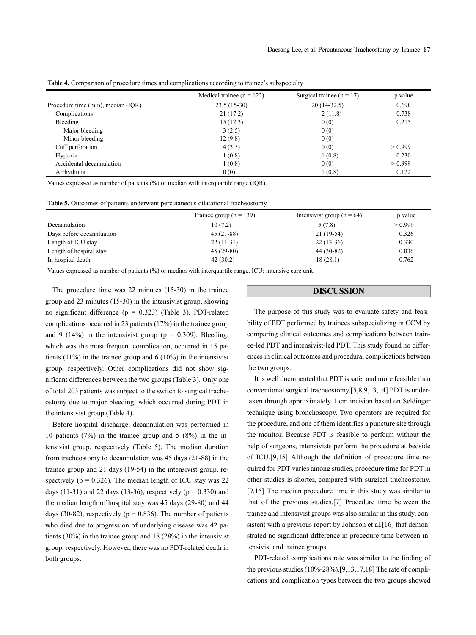|                                    | Medical trainee $(n = 122)$ | Surgical trainee ( $n = 17$ ) | p value |
|------------------------------------|-----------------------------|-------------------------------|---------|
| Procedure time (min), median (IQR) | $23.5(15-30)$               | $20(14-32.5)$                 | 0.698   |
| Complications                      | 21(17.2)                    | 2(11.8)                       | 0.738   |
| Bleeding                           | 15(12.3)                    | 0(0)                          | 0.215   |
| Major bleeding                     | 3(2.5)                      | 0(0)                          |         |
| Minor bleeding                     | 12(9.8)                     | 0(0)                          |         |
| Cuff perforation                   | 4(3.3)                      | 0(0)                          | > 0.999 |
| Hypoxia                            | 1(0.8)                      | 1(0.8)                        | 0.230   |
| Accidental decannulation           | 1(0.8)                      | 0(0)                          | > 0.999 |
| Arrhythmia                         | 0(0)                        | 1(0.8)                        | 0.122   |

**Table 4.** Comparison of procedure times and complications according to trainee's subspecialty

Values expressed as number of patients (%) or median with interquartile range (IQR).

|                           | Trainee group ( $n = 139$ ) | Intensivist group ( $n = 64$ ) | p value |
|---------------------------|-----------------------------|--------------------------------|---------|
| Decannulation             | 10(7.2)                     | 5(7.8)                         | > 0.999 |
| Days before decanniuation | $45(21-88)$                 | $21(19-54)$                    | 0.326   |
| Length of ICU stay        | $22(11-31)$                 | $22(13-36)$                    | 0.330   |
| Length of hospital stay   | $45(29-80)$                 | $44(30-82)$                    | 0.836   |
| In hospital death         | 42(30.2)                    | 18(28.1)                       | 0.762   |

Values expressed as number of patients (%) or median with interquartile range. ICU: intensive care unit.

The procedure time was 22 minutes (15-30) in the trainee group and 23 minutes (15-30) in the intensivist group, showing no significant difference ( $p = 0.323$ ) (Table 3). PDT-related complications occurred in 23 patients (17%) in the trainee group and 9 (14%) in the intensivist group ( $p = 0.309$ ). Bleeding, which was the most frequent complication, occurred in 15 patients  $(11\%)$  in the trainee group and 6  $(10\%)$  in the intensivist group, respectively. Other complications did not show significant differences between the two groups (Table 3). Only one of total 203 patients was subject to the switch to surgical tracheostomy due to major bleeding, which occurred during PDT in the intensivist group (Table 4).

Before hospital discharge, decannulation was performed in 10 patients (7%) in the trainee group and 5 (8%) in the intensivist group, respectively (Table 5). The median duration from tracheostomy to decannulation was 45 days (21-88) in the trainee group and 21 days (19-54) in the intensivist group, respectively ( $p = 0.326$ ). The median length of ICU stay was 22 days (11-31) and 22 days (13-36), respectively ( $p = 0.330$ ) and the median length of hospital stay was 45 days (29-80) and 44 days (30-82), respectively ( $p = 0.836$ ). The number of patients who died due to progression of underlying disease was 42 patients (30%) in the trainee group and 18 (28%) in the intensivist group, respectively. However, there was no PDT-related death in both groups.

#### **DISCUSSION**

The purpose of this study was to evaluate safety and feasibility of PDT performed by trainees subspecializing in CCM by comparing clinical outcomes and complications between trainee-led PDT and intensivist-led PDT. This study found no differences in clinical outcomes and procedural complications between the two groups.

It is well documented that PDT is safer and more feasible than conventional surgical tracheostomy.[5,8,9,13,14] PDT is undertaken through approximately 1 cm incision based on Seldinger technique using bronchoscopy. Two operators are required for the procedure, and one of them identifies a puncture site through the monitor. Because PDT is feasible to perform without the help of surgeons, intensivists perform the procedure at bedside of ICU.[9,15] Although the definition of procedure time required for PDT varies among studies, procedure time for PDT in other studies is shorter, compared with surgical tracheostomy. [9,15] The median procedure time in this study was similar to that of the previous studies.[7] Procedure time between the trainee and intensivist groups was also similar in this study, consistent with a previous report by Johnson et al. [16] that demonstrated no significant difference in procedure time between intensivist and trainee groups.

PDT-related complications rate was similar to the finding of the previous studies (10%-28%).[9,13,17,18] The rate of complications and complication types between the two groups showed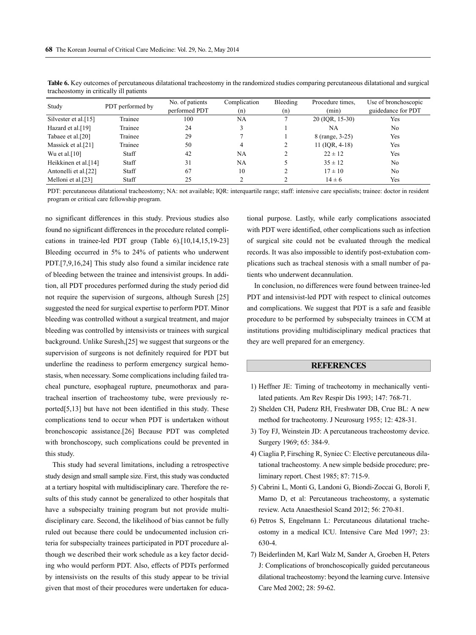| Study                | PDT performed by | No. of patients<br>performed PDT | Complication<br>(n) | Bleeding<br>(n) | Procedure times.<br>(min) | Use of bronchoscopic<br>guidedance for PDT |
|----------------------|------------------|----------------------------------|---------------------|-----------------|---------------------------|--------------------------------------------|
| Silvester et al.[15] | Trainee          | 100                              | NA                  |                 | 20 (IQR, 15-30)           | Yes                                        |
| Hazard et al.[19]    | Trainee          | 24                               |                     |                 | NA                        | N <sub>0</sub>                             |
| Tabaee et al.[20]    | Trainee          | 29                               |                     |                 | 8 (range, 3-25)           | Yes                                        |
| Massick et al.[21]   | Trainee          | 50                               | 4                   | 2               | $11$ (IQR, 4-18)          | Yes                                        |
| Wu et al. $[10]$     | Staff            | 42                               | NA                  |                 | $22 \pm 12$               | Yes                                        |
| Heikkinen et al.[14] | Staff            | 31                               | NA                  |                 | $35 \pm 12$               | N <sub>0</sub>                             |
| Antonelli et al.[22] | Staff            | 67                               | 10                  |                 | $17 \pm 10$               | N <sub>0</sub>                             |
| Melloni et al.[23]   | Staff            | 25                               |                     | ◠               | $14 \pm 6$                | Yes                                        |

**Table 6.** Key outcomes of percutaneous dilatational tracheostomy in the randomized studies comparing percutaneous dilatational and surgical tracheostomy in critically ill patients

PDT: percutaneous dilatational tracheostomy; NA: not available; IQR: interquartile range; staff: intensive care specialists; trainee: doctor in resident program or critical care fellowship program.

no significant differences in this study. Previous studies also found no significant differences in the procedure related complications in trainee-led PDT group (Table 6).[10,14,15,19-23] Bleeding occurred in 5% to 24% of patients who underwent PDT.[7,9,16,24] This study also found a similar incidence rate of bleeding between the trainee and intensivist groups. In addition, all PDT procedures performed during the study period did not require the supervision of surgeons, although Suresh [25] suggested the need for surgical expertise to perform PDT. Minor bleeding was controlled without a surgical treatment, and major bleeding was controlled by intensivists or trainees with surgical background. Unlike Suresh,[25] we suggest that surgeons or the supervision of surgeons is not definitely required for PDT but underline the readiness to perform emergency surgical hemostasis, when necessary. Some complications including failed tracheal puncture, esophageal rupture, pneumothorax and paratracheal insertion of tracheostomy tube, were previously reported[5,13] but have not been identified in this study. These complications tend to occur when PDT is undertaken without bronchoscopic assistance.[26] Because PDT was completed with bronchoscopy, such complications could be prevented in this study.

This study had several limitations, including a retrospective study design and small sample size. First, this study was conducted at a tertiary hospital with multidisciplinary care. Therefore the results of this study cannot be generalized to other hospitals that have a subspecialty training program but not provide multidisciplinary care. Second, the likelihood of bias cannot be fully ruled out because there could be undocumented inclusion criteria for subspecialty trainees participated in PDT procedure although we described their work schedule as a key factor deciding who would perform PDT. Also, effects of PDTs performed by intensivists on the results of this study appear to be trivial given that most of their procedures were undertaken for educational purpose. Lastly, while early complications associated with PDT were identified, other complications such as infection of surgical site could not be evaluated through the medical records. It was also impossible to identify post-extubation complications such as tracheal stenosis with a small number of patients who underwent decannulation.

In conclusion, no differences were found between trainee-led PDT and intensivist-led PDT with respect to clinical outcomes and complications. We suggest that PDT is a safe and feasible procedure to be performed by subspecialty trainees in CCM at institutions providing multidisciplinary medical practices that they are well prepared for an emergency.

## **REFERENCES**

- 1) Heffner JE: Timing of tracheotomy in mechanically ventilated patients. Am Rev Respir Dis 1993; 147: 768-71.
- 2) Shelden CH, Pudenz RH, Freshwater DB, Crue BL: A new method for tracheotomy. J Neurosurg 1955; 12: 428-31.
- 3) Toy FJ, Weinstein JD: A percutaneous tracheostomy device. Surgery 1969; 65: 384-9.
- 4) Ciaglia P, Firsching R, Syniec C: Elective percutaneous dilatational tracheostomy. A new simple bedside procedure; preliminary report. Chest 1985; 87: 715-9.
- 5) Cabrini L, Monti G, Landoni G, Biondi-Zoccai G, Boroli F, Mamo D, et al: Percutaneous tracheostomy, a systematic review. Acta Anaesthesiol Scand 2012; 56: 270-81.
- 6) Petros S, Engelmann L: Percutaneous dilatational tracheostomy in a medical ICU. Intensive Care Med 1997; 23: 630-4.
- 7) Beiderlinden M, Karl Walz M, Sander A, Groeben H, Peters J: Complications of bronchoscopically guided percutaneous dilational tracheostomy: beyond the learning curve. Intensive Care Med 2002; 28: 59-62.